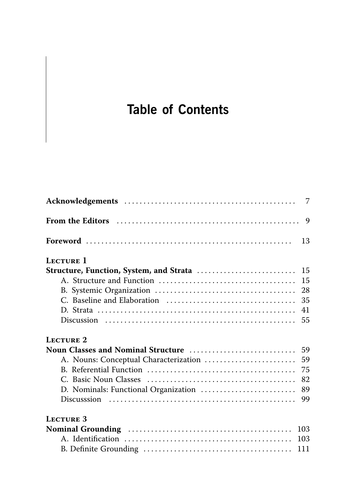## **Table of Contents**

| From the Editors (and the extension of the editors of the editors of the extension of the editors of the editors of the editors of the Editors of the Editors of the Editors of the Editors of the Editors of the Editors of t |     |
|--------------------------------------------------------------------------------------------------------------------------------------------------------------------------------------------------------------------------------|-----|
|                                                                                                                                                                                                                                | 13  |
| LECTURE 1                                                                                                                                                                                                                      |     |
|                                                                                                                                                                                                                                |     |
|                                                                                                                                                                                                                                | 15  |
|                                                                                                                                                                                                                                | 28  |
|                                                                                                                                                                                                                                | 35  |
|                                                                                                                                                                                                                                | 41  |
|                                                                                                                                                                                                                                | 55  |
| <b>LECTURE 2</b>                                                                                                                                                                                                               |     |
|                                                                                                                                                                                                                                |     |
|                                                                                                                                                                                                                                | 59  |
|                                                                                                                                                                                                                                |     |
|                                                                                                                                                                                                                                | 82  |
|                                                                                                                                                                                                                                | 89  |
|                                                                                                                                                                                                                                | 99  |
| <b>LECTURE 3</b>                                                                                                                                                                                                               |     |
|                                                                                                                                                                                                                                | 103 |
|                                                                                                                                                                                                                                |     |
|                                                                                                                                                                                                                                |     |